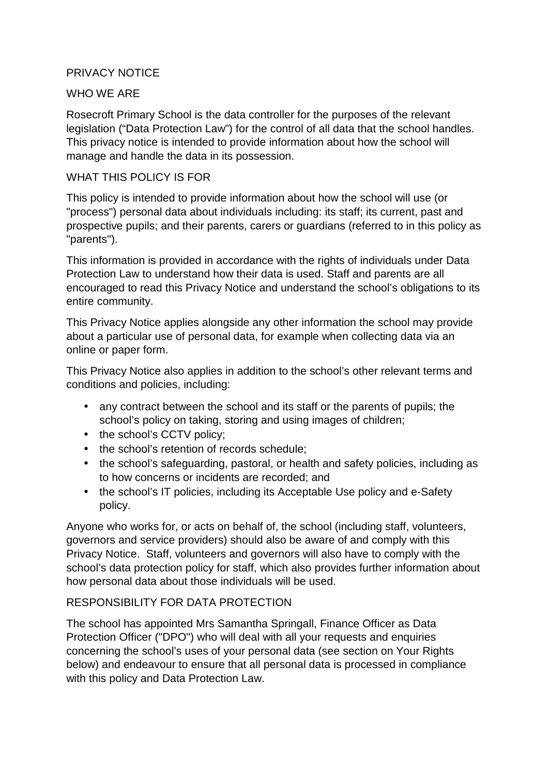## PRIVACY NOTICE

#### WHO WE ARE

Rosecroft Primary School is the data controller for the purposes of the relevant legislation ("Data Protection Law") for the control of all data that the school handles. This privacy notice is intended to provide information about how the school will manage and handle the data in its possession.

#### WHAT THIS POLICY IS FOR

This policy is intended to provide information about how the school will use (or "process") personal data about individuals including: its staff; its current, past and prospective pupils; and their parents, carers or guardians (referred to in this policy as "parents").

This information is provided in accordance with the rights of individuals under Data Protection Law to understand how their data is used. Staff and parents are all encouraged to read this Privacy Notice and understand the school's obligations to its entire community.

This Privacy Notice applies alongside any other information the school may provide about a particular use of personal data, for example when collecting data via an online or paper form.

This Privacy Notice also applies in addition to the school's other relevant terms and conditions and policies, including:

- any contract between the school and its staff or the parents of pupils; the school's policy on taking, storing and using images of children;
- the school's CCTV policy:
- the school's retention of records schedule:
- the school's safeguarding, pastoral, or health and safety policies, including as to how concerns or incidents are recorded; and
- the school's IT policies, including its Acceptable Use policy and e-Safety policy.

Anyone who works for, or acts on behalf of, the school (including staff, volunteers, governors and service providers) should also be aware of and comply with this Privacy Notice. Staff, volunteers and governors will also have to comply with the school's data protection policy for staff, which also provides further information about how personal data about those individuals will be used.

#### RESPONSIBILITY FOR DATA PROTECTION

The school has appointed Mrs Samantha Springall, Finance Officer as Data Protection Officer ("DPO") who will deal with all your requests and enquiries concerning the school's uses of your personal data (see section on Your Rights below) and endeavour to ensure that all personal data is processed in compliance with this policy and Data Protection Law.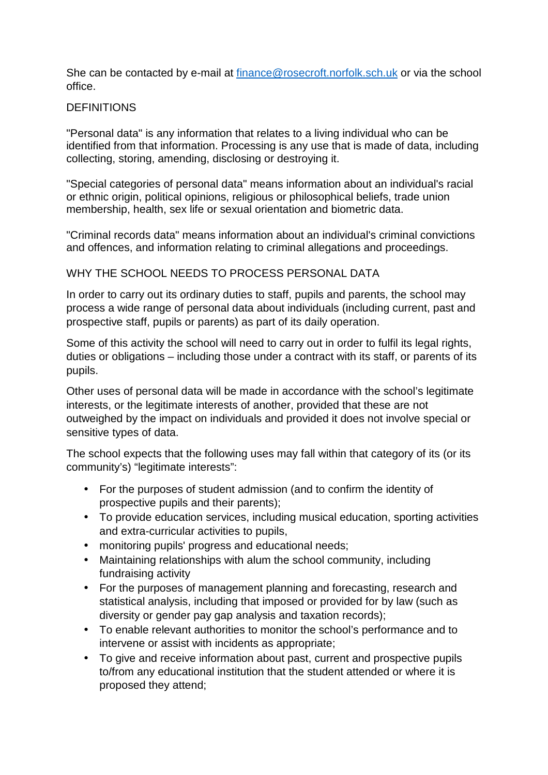She can be contacted by e-mail at finance@rosecroft.norfolk.sch.uk or via the school office.

#### **DEFINITIONS**

"Personal data" is any information that relates to a living individual who can be identified from that information. Processing is any use that is made of data, including collecting, storing, amending, disclosing or destroying it.

"Special categories of personal data" means information about an individual's racial or ethnic origin, political opinions, religious or philosophical beliefs, trade union membership, health, sex life or sexual orientation and biometric data.

"Criminal records data" means information about an individual's criminal convictions and offences, and information relating to criminal allegations and proceedings.

## WHY THE SCHOOL NEEDS TO PROCESS PERSONAL DATA

In order to carry out its ordinary duties to staff, pupils and parents, the school may process a wide range of personal data about individuals (including current, past and prospective staff, pupils or parents) as part of its daily operation.

Some of this activity the school will need to carry out in order to fulfil its legal rights, duties or obligations – including those under a contract with its staff, or parents of its pupils.

Other uses of personal data will be made in accordance with the school's legitimate interests, or the legitimate interests of another, provided that these are not outweighed by the impact on individuals and provided it does not involve special or sensitive types of data.

The school expects that the following uses may fall within that category of its (or its community's) "legitimate interests":

- For the purposes of student admission (and to confirm the identity of prospective pupils and their parents);
- To provide education services, including musical education, sporting activities and extra-curricular activities to pupils,
- monitoring pupils' progress and educational needs;
- Maintaining relationships with alum the school community, including fundraising activity
- For the purposes of management planning and forecasting, research and statistical analysis, including that imposed or provided for by law (such as diversity or gender pay gap analysis and taxation records);
- To enable relevant authorities to monitor the school's performance and to intervene or assist with incidents as appropriate;
- To give and receive information about past, current and prospective pupils to/from any educational institution that the student attended or where it is proposed they attend;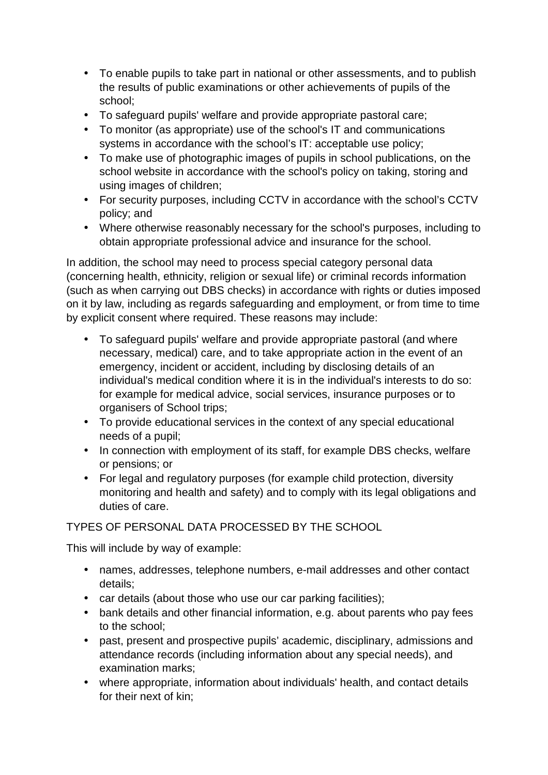- To enable pupils to take part in national or other assessments, and to publish the results of public examinations or other achievements of pupils of the school;
- To safeguard pupils' welfare and provide appropriate pastoral care;
- To monitor (as appropriate) use of the school's IT and communications systems in accordance with the school's IT: acceptable use policy;
- To make use of photographic images of pupils in school publications, on the school website in accordance with the school's policy on taking, storing and using images of children;
- For security purposes, including CCTV in accordance with the school's CCTV policy; and
- Where otherwise reasonably necessary for the school's purposes, including to obtain appropriate professional advice and insurance for the school.

In addition, the school may need to process special category personal data (concerning health, ethnicity, religion or sexual life) or criminal records information (such as when carrying out DBS checks) in accordance with rights or duties imposed on it by law, including as regards safeguarding and employment, or from time to time by explicit consent where required. These reasons may include:

- To safeguard pupils' welfare and provide appropriate pastoral (and where necessary, medical) care, and to take appropriate action in the event of an emergency, incident or accident, including by disclosing details of an individual's medical condition where it is in the individual's interests to do so: for example for medical advice, social services, insurance purposes or to organisers of School trips;
- To provide educational services in the context of any special educational needs of a pupil;
- In connection with employment of its staff, for example DBS checks, welfare or pensions; or
- For legal and regulatory purposes (for example child protection, diversity monitoring and health and safety) and to comply with its legal obligations and duties of care.

# TYPES OF PERSONAL DATA PROCESSED BY THE SCHOOL

This will include by way of example:

- names, addresses, telephone numbers, e-mail addresses and other contact details;
- car details (about those who use our car parking facilities);
- bank details and other financial information, e.g. about parents who pay fees to the school;
- past, present and prospective pupils' academic, disciplinary, admissions and attendance records (including information about any special needs), and examination marks;
- where appropriate, information about individuals' health, and contact details for their next of kin;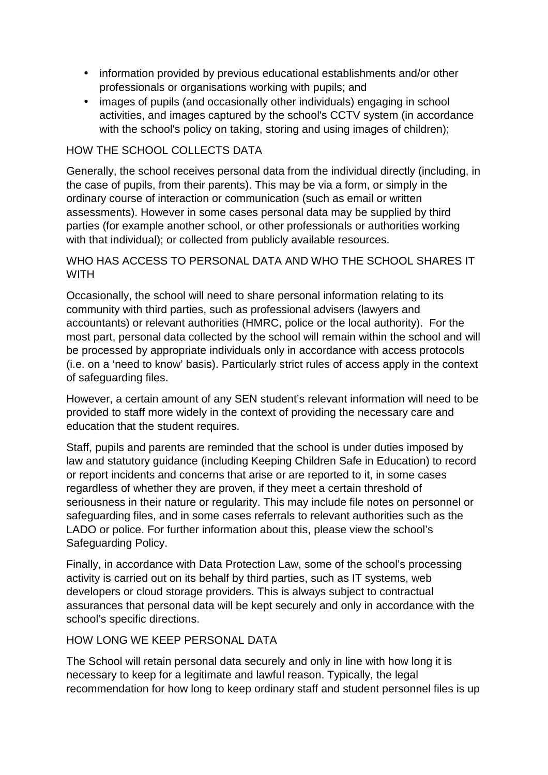- information provided by previous educational establishments and/or other professionals or organisations working with pupils; and
- images of pupils (and occasionally other individuals) engaging in school activities, and images captured by the school's CCTV system (in accordance with the school's policy on taking, storing and using images of children);

# HOW THE SCHOOL COLLECTS DATA

Generally, the school receives personal data from the individual directly (including, in the case of pupils, from their parents). This may be via a form, or simply in the ordinary course of interaction or communication (such as email or written assessments). However in some cases personal data may be supplied by third parties (for example another school, or other professionals or authorities working with that individual); or collected from publicly available resources.

# WHO HAS ACCESS TO PERSONAL DATA AND WHO THE SCHOOL SHARES IT **WITH**

Occasionally, the school will need to share personal information relating to its community with third parties, such as professional advisers (lawyers and accountants) or relevant authorities (HMRC, police or the local authority). For the most part, personal data collected by the school will remain within the school and will be processed by appropriate individuals only in accordance with access protocols (i.e. on a 'need to know' basis). Particularly strict rules of access apply in the context of safeguarding files.

However, a certain amount of any SEN student's relevant information will need to be provided to staff more widely in the context of providing the necessary care and education that the student requires.

Staff, pupils and parents are reminded that the school is under duties imposed by law and statutory guidance (including Keeping Children Safe in Education) to record or report incidents and concerns that arise or are reported to it, in some cases regardless of whether they are proven, if they meet a certain threshold of seriousness in their nature or regularity. This may include file notes on personnel or safeguarding files, and in some cases referrals to relevant authorities such as the LADO or police. For further information about this, please view the school's Safeguarding Policy.

Finally, in accordance with Data Protection Law, some of the school's processing activity is carried out on its behalf by third parties, such as IT systems, web developers or cloud storage providers. This is always subject to contractual assurances that personal data will be kept securely and only in accordance with the school's specific directions.

# HOW LONG WE KEEP PERSONAL DATA

The School will retain personal data securely and only in line with how long it is necessary to keep for a legitimate and lawful reason. Typically, the legal recommendation for how long to keep ordinary staff and student personnel files is up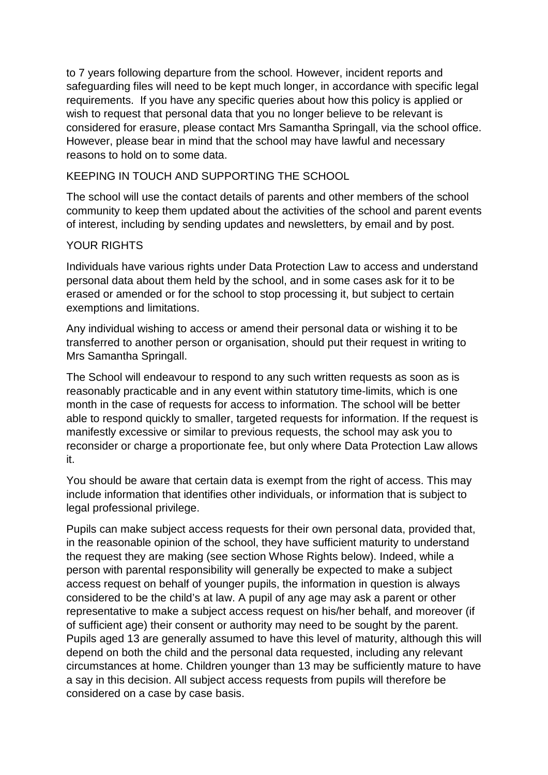to 7 years following departure from the school. However, incident reports and safeguarding files will need to be kept much longer, in accordance with specific legal requirements. If you have any specific queries about how this policy is applied or wish to request that personal data that you no longer believe to be relevant is considered for erasure, please contact Mrs Samantha Springall, via the school office. However, please bear in mind that the school may have lawful and necessary reasons to hold on to some data.

## KEEPING IN TOUCH AND SUPPORTING THE SCHOOL

The school will use the contact details of parents and other members of the school community to keep them updated about the activities of the school and parent events of interest, including by sending updates and newsletters, by email and by post.

# YOUR RIGHTS

Individuals have various rights under Data Protection Law to access and understand personal data about them held by the school, and in some cases ask for it to be erased or amended or for the school to stop processing it, but subject to certain exemptions and limitations.

Any individual wishing to access or amend their personal data or wishing it to be transferred to another person or organisation, should put their request in writing to Mrs Samantha Springall.

The School will endeavour to respond to any such written requests as soon as is reasonably practicable and in any event within statutory time-limits, which is one month in the case of requests for access to information. The school will be better able to respond quickly to smaller, targeted requests for information. If the request is manifestly excessive or similar to previous requests, the school may ask you to reconsider or charge a proportionate fee, but only where Data Protection Law allows it.

You should be aware that certain data is exempt from the right of access. This may include information that identifies other individuals, or information that is subject to legal professional privilege.

Pupils can make subject access requests for their own personal data, provided that, in the reasonable opinion of the school, they have sufficient maturity to understand the request they are making (see section Whose Rights below). Indeed, while a person with parental responsibility will generally be expected to make a subject access request on behalf of younger pupils, the information in question is always considered to be the child's at law. A pupil of any age may ask a parent or other representative to make a subject access request on his/her behalf, and moreover (if of sufficient age) their consent or authority may need to be sought by the parent. Pupils aged 13 are generally assumed to have this level of maturity, although this will depend on both the child and the personal data requested, including any relevant circumstances at home. Children younger than 13 may be sufficiently mature to have a say in this decision. All subject access requests from pupils will therefore be considered on a case by case basis.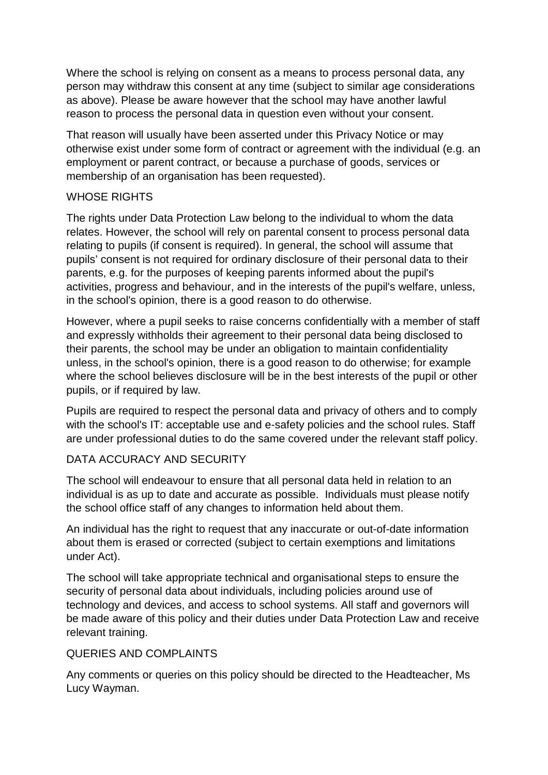Where the school is relying on consent as a means to process personal data, any person may withdraw this consent at any time (subject to similar age considerations as above). Please be aware however that the school may have another lawful reason to process the personal data in question even without your consent.

That reason will usually have been asserted under this Privacy Notice or may otherwise exist under some form of contract or agreement with the individual (e.g. an employment or parent contract, or because a purchase of goods, services or membership of an organisation has been requested).

## WHOSE RIGHTS

The rights under Data Protection Law belong to the individual to whom the data relates. However, the school will rely on parental consent to process personal data relating to pupils (if consent is required). In general, the school will assume that pupils' consent is not required for ordinary disclosure of their personal data to their parents, e.g. for the purposes of keeping parents informed about the pupil's activities, progress and behaviour, and in the interests of the pupil's welfare, unless, in the school's opinion, there is a good reason to do otherwise.

However, where a pupil seeks to raise concerns confidentially with a member of staff and expressly withholds their agreement to their personal data being disclosed to their parents, the school may be under an obligation to maintain confidentiality unless, in the school's opinion, there is a good reason to do otherwise; for example where the school believes disclosure will be in the best interests of the pupil or other pupils, or if required by law.

Pupils are required to respect the personal data and privacy of others and to comply with the school's IT: acceptable use and e-safety policies and the school rules. Staff are under professional duties to do the same covered under the relevant staff policy.

# DATA ACCURACY AND SECURITY

The school will endeavour to ensure that all personal data held in relation to an individual is as up to date and accurate as possible. Individuals must please notify the school office staff of any changes to information held about them.

An individual has the right to request that any inaccurate or out-of-date information about them is erased or corrected (subject to certain exemptions and limitations under Act).

The school will take appropriate technical and organisational steps to ensure the security of personal data about individuals, including policies around use of technology and devices, and access to school systems. All staff and governors will be made aware of this policy and their duties under Data Protection Law and receive relevant training.

#### QUERIES AND COMPLAINTS

Any comments or queries on this policy should be directed to the Headteacher, Ms Lucy Wayman.